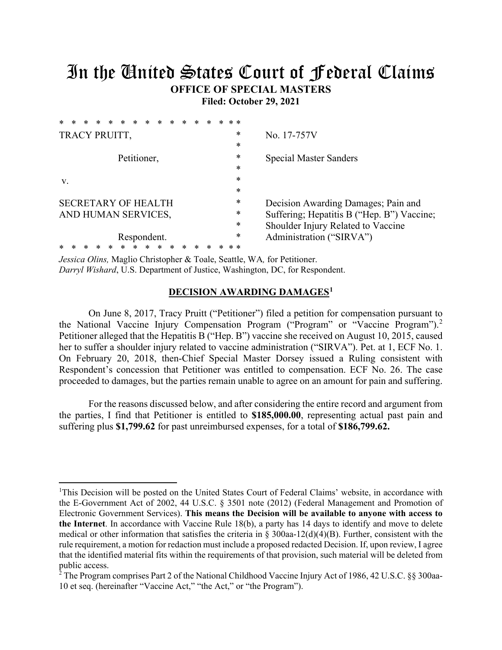# In the United States Court of Federal Claims **OFFICE OF SPECIAL MASTERS**

**Filed: October 29, 2021**

| $\ast$<br>$\ast$<br>$\ast$<br>$\ast$<br>$\ast$<br>ж | $* *$ |                                            |
|-----------------------------------------------------|-------|--------------------------------------------|
| TRACY PRUITT,                                       | *     | No. 17-757V                                |
|                                                     | *     |                                            |
| Petitioner,                                         | *     | <b>Special Master Sanders</b>              |
|                                                     | *     |                                            |
| V.                                                  | *     |                                            |
|                                                     | *     |                                            |
| <b>SECRETARY OF HEALTH</b>                          | *     | Decision Awarding Damages; Pain and        |
| AND HUMAN SERVICES,                                 | *     | Suffering; Hepatitis B ("Hep. B") Vaccine; |
|                                                     | *     | Shoulder Injury Related to Vaccine         |
| Respondent.                                         | *     | Administration ("SIRVA")                   |
|                                                     |       |                                            |

*Jessica Olins,* Maglio Christopher & Toale, Seattle, WA*,* for Petitioner. *Darryl Wishard*, U.S. Department of Justice, Washington, DC, for Respondent.

# **DECISION AWARDING DAMAGES1**

On June 8, 2017, Tracy Pruitt ("Petitioner") filed a petition for compensation pursuant to the National Vaccine Injury Compensation Program ("Program" or "Vaccine Program").<sup>2</sup> Petitioner alleged that the Hepatitis B ("Hep. B") vaccine she received on August 10, 2015, caused her to suffer a shoulder injury related to vaccine administration ("SIRVA"). Pet. at 1, ECF No. 1. On February 20, 2018, then-Chief Special Master Dorsey issued a Ruling consistent with Respondent's concession that Petitioner was entitled to compensation. ECF No. 26. The case proceeded to damages, but the parties remain unable to agree on an amount for pain and suffering.

For the reasons discussed below, and after considering the entire record and argument from the parties, I find that Petitioner is entitled to **\$185,000.00**, representing actual past pain and suffering plus **\$1,799.62** for past unreimbursed expenses, for a total of **\$186,799.62.**

<sup>&</sup>lt;sup>1</sup>This Decision will be posted on the United States Court of Federal Claims' website, in accordance with the E-Government Act of 2002, 44 U.S.C. § 3501 note (2012) (Federal Management and Promotion of Electronic Government Services). **This means the Decision will be available to anyone with access to the Internet**. In accordance with Vaccine Rule 18(b), a party has 14 days to identify and move to delete medical or other information that satisfies the criteria in § 300aa-12(d)(4)(B). Further, consistent with the rule requirement, a motion for redaction must include a proposed redacted Decision. If, upon review, I agree that the identified material fits within the requirements of that provision, such material will be deleted from public access.

 $2^{\circ}$  The Program comprises Part 2 of the National Childhood Vaccine Injury Act of 1986, 42 U.S.C. §§ 300aa-10 et seq. (hereinafter "Vaccine Act," "the Act," or "the Program").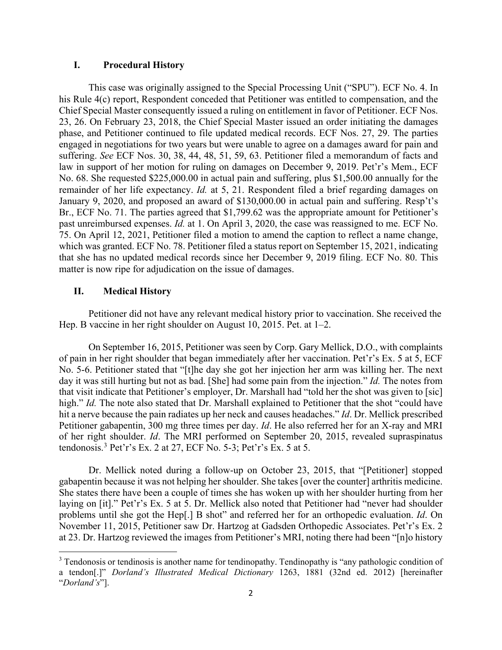# **I. Procedural History**

This case was originally assigned to the Special Processing Unit ("SPU"). ECF No. 4. In his Rule 4(c) report, Respondent conceded that Petitioner was entitled to compensation, and the Chief Special Master consequently issued a ruling on entitlement in favor of Petitioner. ECF Nos. 23, 26. On February 23, 2018, the Chief Special Master issued an order initiating the damages phase, and Petitioner continued to file updated medical records. ECF Nos. 27, 29. The parties engaged in negotiations for two years but were unable to agree on a damages award for pain and suffering. *See* ECF Nos. 30, 38, 44, 48, 51, 59, 63. Petitioner filed a memorandum of facts and law in support of her motion for ruling on damages on December 9, 2019. Pet'r's Mem., ECF No. 68. She requested \$225,000.00 in actual pain and suffering, plus \$1,500.00 annually for the remainder of her life expectancy. *Id.* at 5, 21. Respondent filed a brief regarding damages on January 9, 2020, and proposed an award of \$130,000.00 in actual pain and suffering. Resp't's Br., ECF No. 71. The parties agreed that \$1,799.62 was the appropriate amount for Petitioner's past unreimbursed expenses. *Id.* at 1. On April 3, 2020, the case was reassigned to me. ECF No. 75. On April 12, 2021, Petitioner filed a motion to amend the caption to reflect a name change, which was granted. ECF No. 78. Petitioner filed a status report on September 15, 2021, indicating that she has no updated medical records since her December 9, 2019 filing. ECF No. 80. This matter is now ripe for adjudication on the issue of damages.

## **II. Medical History**

Petitioner did not have any relevant medical history prior to vaccination. She received the Hep. B vaccine in her right shoulder on August 10, 2015. Pet. at 1–2.

On September 16, 2015, Petitioner was seen by Corp. Gary Mellick, D.O., with complaints of pain in her right shoulder that began immediately after her vaccination. Pet'r's Ex. 5 at 5, ECF No. 5-6. Petitioner stated that "[t]he day she got her injection her arm was killing her. The next day it was still hurting but not as bad. [She] had some pain from the injection." *Id.* The notes from that visit indicate that Petitioner's employer, Dr. Marshall had "told her the shot was given to [sic] high." *Id.* The note also stated that Dr. Marshall explained to Petitioner that the shot "could have hit a nerve because the pain radiates up her neck and causes headaches." *Id*. Dr. Mellick prescribed Petitioner gabapentin, 300 mg three times per day. *Id*. He also referred her for an X-ray and MRI of her right shoulder. *Id*. The MRI performed on September 20, 2015, revealed supraspinatus tendonosis.<sup>3</sup> Pet'r's Ex. 2 at 27, ECF No. 5-3; Pet'r's Ex. 5 at 5.

Dr. Mellick noted during a follow-up on October 23, 2015, that "[Petitioner] stopped gabapentin because it was not helping her shoulder. She takes [over the counter] arthritis medicine. She states there have been a couple of times she has woken up with her shoulder hurting from her laying on [it]." Pet'r's Ex. 5 at 5. Dr. Mellick also noted that Petitioner had "never had shoulder problems until she got the Hep[.] B shot" and referred her for an orthopedic evaluation. *Id*. On November 11, 2015, Petitioner saw Dr. Hartzog at Gadsden Orthopedic Associates. Pet'r's Ex. 2 at 23. Dr. Hartzog reviewed the images from Petitioner's MRI, noting there had been "[n]o history

<sup>&</sup>lt;sup>3</sup> Tendonosis or tendinosis is another name for tendinopathy. Tendinopathy is "any pathologic condition of a tendon[.]" *Dorland's Illustrated Medical Dictionary* 1263, 1881 (32nd ed. 2012) [hereinafter "*Dorland's*"].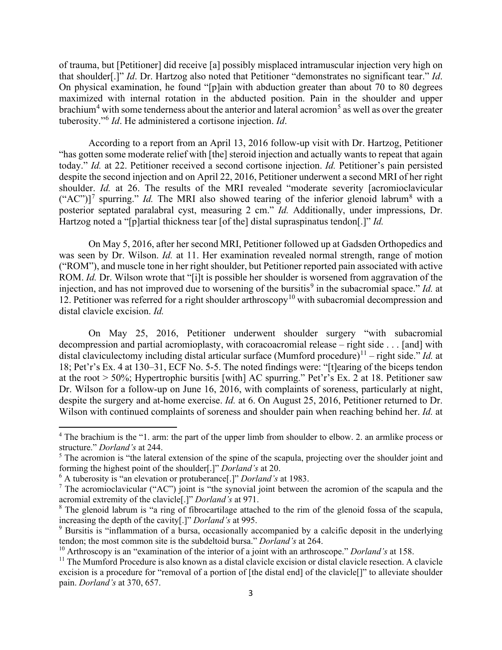of trauma, but [Petitioner] did receive [a] possibly misplaced intramuscular injection very high on that shoulder[.]" *Id*. Dr. Hartzog also noted that Petitioner "demonstrates no significant tear." *Id*. On physical examination, he found "[p]ain with abduction greater than about 70 to 80 degrees maximized with internal rotation in the abducted position. Pain in the shoulder and upper brachium<sup>4</sup> with some tenderness about the anterior and lateral acromion<sup>5</sup> as well as over the greater tuberosity."<sup>6</sup> *Id*. He administered a cortisone injection. *Id*.

According to a report from an April 13, 2016 follow-up visit with Dr. Hartzog, Petitioner "has gotten some moderate relief with [the] steroid injection and actually wants to repeat that again today." *Id.* at 22. Petitioner received a second cortisone injection. *Id.* Petitioner's pain persisted despite the second injection and on April 22, 2016, Petitioner underwent a second MRI of her right shoulder. *Id.* at 26. The results of the MRI revealed "moderate severity [acromioclavicular  $("AC")$ <sup>7</sup> spurring." *Id.* The MRI also showed tearing of the inferior glenoid labrum<sup>8</sup> with a posterior septated paralabral cyst, measuring 2 cm." *Id.* Additionally, under impressions, Dr. Hartzog noted a "[p]artial thickness tear [of the] distal supraspinatus tendon[.]" *Id.*

On May 5, 2016, after her second MRI, Petitioner followed up at Gadsden Orthopedics and was seen by Dr. Wilson. *Id.* at 11. Her examination revealed normal strength, range of motion ("ROM"), and muscle tone in her right shoulder, but Petitioner reported pain associated with active ROM. *Id.* Dr. Wilson wrote that "[i]t is possible her shoulder is worsened from aggravation of the injection, and has not improved due to worsening of the bursitis<sup>9</sup> in the subacromial space." *Id.* at 12. Petitioner was referred for a right shoulder arthroscopy<sup>10</sup> with subacromial decompression and distal clavicle excision. *Id.* 

On May 25, 2016, Petitioner underwent shoulder surgery "with subacromial decompression and partial acromioplasty, with coracoacromial release – right side . . . [and] with distal claviculectomy including distal articular surface (Mumford procedure)<sup>11</sup> – right side." *Id.* at 18; Pet'r's Ex. 4 at 130–31, ECF No. 5-5. The noted findings were: "[t]earing of the biceps tendon at the root > 50%; Hypertrophic bursitis [with] AC spurring." Pet'r's Ex. 2 at 18. Petitioner saw Dr. Wilson for a follow-up on June 16, 2016, with complaints of soreness, particularly at night, despite the surgery and at-home exercise. *Id.* at 6. On August 25, 2016, Petitioner returned to Dr. Wilson with continued complaints of soreness and shoulder pain when reaching behind her. *Id.* at

<sup>&</sup>lt;sup>4</sup> The brachium is the "1. arm: the part of the upper limb from shoulder to elbow. 2. an armlike process or structure." *Dorland's* at 244.

<sup>&</sup>lt;sup>5</sup> The acromion is "the lateral extension of the spine of the scapula, projecting over the shoulder joint and forming the highest point of the shoulder[.]" *Dorland's* at 20.

<sup>6</sup> A tuberosity is "an elevation or protuberance[.]" *Dorland's* at 1983.

 $<sup>7</sup>$  The acromioclavicular ("AC") joint is "the synovial joint between the acromion of the scapula and the</sup> acromial extremity of the clavicle[.]" *Dorland's* at 971.

<sup>&</sup>lt;sup>8</sup> The glenoid labrum is "a ring of fibrocartilage attached to the rim of the glenoid fossa of the scapula, increasing the depth of the cavity[.]" *Dorland's* at 995.

<sup>9</sup> Bursitis is "inflammation of a bursa, occasionally accompanied by a calcific deposit in the underlying tendon; the most common site is the subdeltoid bursa." *Dorland's* at 264.

<sup>10</sup> Arthroscopy is an "examination of the interior of a joint with an arthroscope." *Dorland's* at 158.

<sup>&</sup>lt;sup>11</sup> The Mumford Procedure is also known as a distal clavicle excision or distal clavicle resection. A clavicle excision is a procedure for "removal of a portion of [the distal end] of the clavicle[]" to alleviate shoulder pain. *Dorland's* at 370, 657.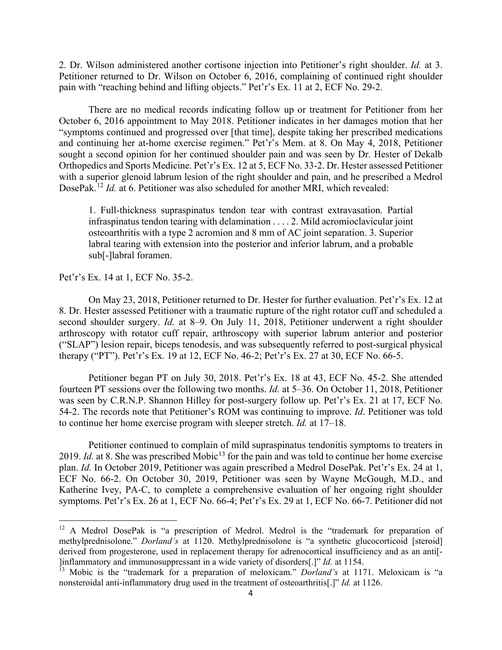2. Dr. Wilson administered another cortisone injection into Petitioner's right shoulder. *Id.* at 3. Petitioner returned to Dr. Wilson on October 6, 2016, complaining of continued right shoulder pain with "reaching behind and lifting objects." Pet'r's Ex. 11 at 2, ECF No. 29-2.

There are no medical records indicating follow up or treatment for Petitioner from her October 6, 2016 appointment to May 2018. Petitioner indicates in her damages motion that her "symptoms continued and progressed over [that time], despite taking her prescribed medications and continuing her at-home exercise regimen." Pet'r's Mem. at 8. On May 4, 2018, Petitioner sought a second opinion for her continued shoulder pain and was seen by Dr. Hester of Dekalb Orthopedics and Sports Medicine. Pet'r's Ex. 12 at 5, ECF No. 33-2. Dr. Hester assessed Petitioner with a superior glenoid labrum lesion of the right shoulder and pain, and he prescribed a Medrol DosePak. <sup>12</sup> *Id.* at 6. Petitioner was also scheduled for another MRI, which revealed:

1. Full-thickness supraspinatus tendon tear with contrast extravasation. Partial infraspinatus tendon tearing with delamination . . . . 2. Mild acromioclavicular joint osteoarthritis with a type 2 acromion and 8 mm of AC joint separation. 3. Superior labral tearing with extension into the posterior and inferior labrum, and a probable sub[-]labral foramen.

Pet'r's Ex. 14 at 1, ECF No. 35-2.

On May 23, 2018, Petitioner returned to Dr. Hester for further evaluation. Pet'r's Ex. 12 at 8. Dr. Hester assessed Petitioner with a traumatic rupture of the right rotator cuff and scheduled a second shoulder surgery. *Id.* at 8–9. On July 11, 2018, Petitioner underwent a right shoulder arthroscopy with rotator cuff repair, arthroscopy with superior labrum anterior and posterior ("SLAP") lesion repair, biceps tenodesis, and was subsequently referred to post-surgical physical therapy ("PT"). Pet'r's Ex. 19 at 12, ECF No. 46-2; Pet'r's Ex. 27 at 30, ECF No. 66-5.

Petitioner began PT on July 30, 2018. Pet'r's Ex. 18 at 43, ECF No. 45-2. She attended fourteen PT sessions over the following two months. *Id.* at 5–36. On October 11, 2018, Petitioner was seen by C.R.N.P. Shannon Hilley for post-surgery follow up. Pet'r's Ex. 21 at 17, ECF No. 54-2. The records note that Petitioner's ROM was continuing to improve. *Id*. Petitioner was told to continue her home exercise program with sleeper stretch. *Id.* at 17–18.

Petitioner continued to complain of mild supraspinatus tendonitis symptoms to treaters in 2019. *Id.* at 8. She was prescribed Mobic<sup>13</sup> for the pain and was told to continue her home exercise plan. *Id.* In October 2019, Petitioner was again prescribed a Medrol DosePak. Pet'r's Ex. 24 at 1, ECF No. 66-2. On October 30, 2019, Petitioner was seen by Wayne McGough, M.D., and Katherine Ivey, PA-C, to complete a comprehensive evaluation of her ongoing right shoulder symptoms. Pet'r's Ex. 26 at 1, ECF No. 66-4; Pet'r's Ex. 29 at 1, ECF No. 66-7. Petitioner did not

<sup>&</sup>lt;sup>12</sup> A Medrol DosePak is "a prescription of Medrol. Medrol is the "trademark for preparation of methylprednisolone." *Dorland's* at 1120. Methylprednisolone is "a synthetic glucocorticoid [steroid] derived from progesterone, used in replacement therapy for adrenocortical insufficiency and as an anti[- ]inflammatory and immunosuppressant in a wide variety of disorders[.]" *Id.* at 1154.

<sup>&</sup>lt;sup>13</sup> Mobic is the "trademark for a preparation of meloxicam." *Dorland's* at 1171. Meloxicam is "a nonsteroidal anti-inflammatory drug used in the treatment of osteoarthritis[.]" *Id.* at 1126.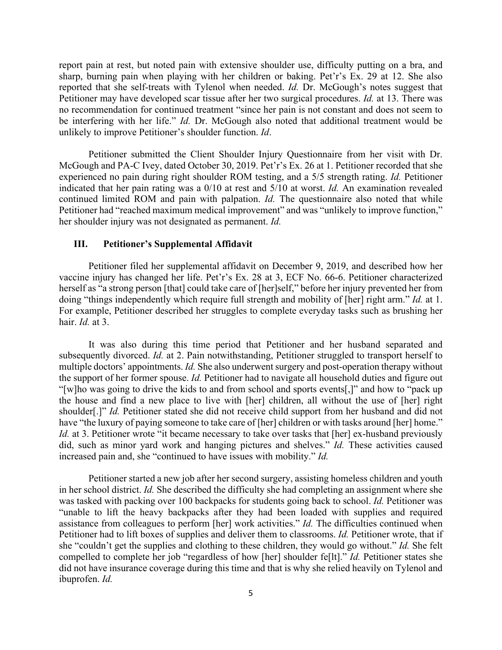report pain at rest, but noted pain with extensive shoulder use, difficulty putting on a bra, and sharp, burning pain when playing with her children or baking. Pet'r's Ex. 29 at 12. She also reported that she self-treats with Tylenol when needed. *Id.* Dr. McGough's notes suggest that Petitioner may have developed scar tissue after her two surgical procedures. *Id.* at 13. There was no recommendation for continued treatment "since her pain is not constant and does not seem to be interfering with her life." *Id.* Dr. McGough also noted that additional treatment would be unlikely to improve Petitioner's shoulder function. *Id*.

Petitioner submitted the Client Shoulder Injury Questionnaire from her visit with Dr. McGough and PA-C Ivey, dated October 30, 2019. Pet'r's Ex. 26 at 1. Petitioner recorded that she experienced no pain during right shoulder ROM testing, and a 5/5 strength rating. *Id.* Petitioner indicated that her pain rating was a 0/10 at rest and 5/10 at worst. *Id.* An examination revealed continued limited ROM and pain with palpation. *Id.* The questionnaire also noted that while Petitioner had "reached maximum medical improvement" and was "unlikely to improve function," her shoulder injury was not designated as permanent. *Id.*

## **III. Petitioner's Supplemental Affidavit**

Petitioner filed her supplemental affidavit on December 9, 2019, and described how her vaccine injury has changed her life. Pet'r's Ex. 28 at 3, ECF No. 66-6. Petitioner characterized herself as "a strong person [that] could take care of [her]self," before her injury prevented her from doing "things independently which require full strength and mobility of [her] right arm." *Id.* at 1. For example, Petitioner described her struggles to complete everyday tasks such as brushing her hair. *Id.* at 3.

It was also during this time period that Petitioner and her husband separated and subsequently divorced. *Id.* at 2. Pain notwithstanding, Petitioner struggled to transport herself to multiple doctors' appointments. *Id.* She also underwent surgery and post-operation therapy without the support of her former spouse. *Id.* Petitioner had to navigate all household duties and figure out "[w]ho was going to drive the kids to and from school and sports events[,]" and how to "pack up the house and find a new place to live with [her] children, all without the use of [her] right shoulder[.]" *Id.* Petitioner stated she did not receive child support from her husband and did not have "the luxury of paying someone to take care of [her] children or with tasks around [her] home." *Id.* at 3. Petitioner wrote "it became necessary to take over tasks that [her] ex-husband previously did, such as minor yard work and hanging pictures and shelves." *Id.* These activities caused increased pain and, she "continued to have issues with mobility." *Id.* 

Petitioner started a new job after her second surgery, assisting homeless children and youth in her school district. *Id.* She described the difficulty she had completing an assignment where she was tasked with packing over 100 backpacks for students going back to school. *Id.* Petitioner was "unable to lift the heavy backpacks after they had been loaded with supplies and required assistance from colleagues to perform [her] work activities." *Id.* The difficulties continued when Petitioner had to lift boxes of supplies and deliver them to classrooms. *Id.* Petitioner wrote, that if she "couldn't get the supplies and clothing to these children, they would go without." *Id.* She felt compelled to complete her job "regardless of how [her] shoulder fe[lt]." *Id.* Petitioner states she did not have insurance coverage during this time and that is why she relied heavily on Tylenol and ibuprofen. *Id.*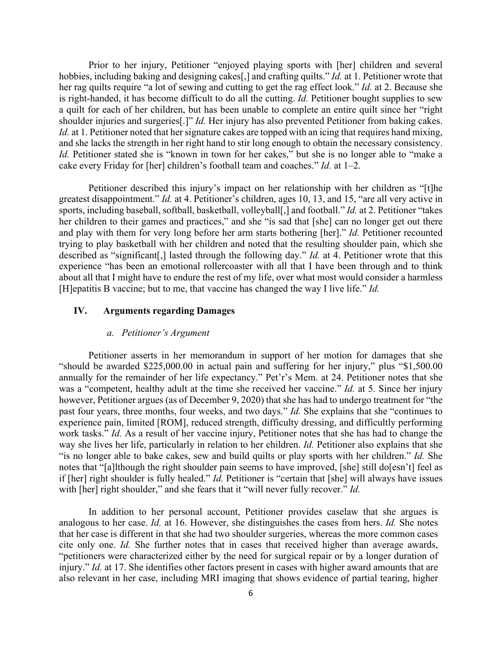Prior to her injury, Petitioner "enjoyed playing sports with [her] children and several hobbies, including baking and designing cakes[,] and crafting quilts." *Id.* at 1. Petitioner wrote that her rag quilts require "a lot of sewing and cutting to get the rag effect look." *Id.* at 2. Because she is right-handed, it has become difficult to do all the cutting. *Id.* Petitioner bought supplies to sew a quilt for each of her children, but has been unable to complete an entire quilt since her "right shoulder injuries and surgeries[.]" *Id.* Her injury has also prevented Petitioner from baking cakes. *Id.* at 1. Petitioner noted that her signature cakes are topped with an icing that requires hand mixing, and she lacks the strength in her right hand to stir long enough to obtain the necessary consistency. *Id.* Petitioner stated she is "known in town for her cakes," but she is no longer able to "make a cake every Friday for [her] children's football team and coaches." *Id.* at 1–2.

Petitioner described this injury's impact on her relationship with her children as "[t]he greatest disappointment." *Id.* at 4. Petitioner's children, ages 10, 13, and 15, "are all very active in sports, including baseball, softball, basketball, volleyball[,] and football." *Id.* at 2. Petitioner "takes her children to their games and practices," and she "is sad that [she] can no longer get out there and play with them for very long before her arm starts bothering [her]." *Id.* Petitioner recounted trying to play basketball with her children and noted that the resulting shoulder pain, which she described as "significant[,] lasted through the following day." *Id.* at 4. Petitioner wrote that this experience "has been an emotional rollercoaster with all that I have been through and to think about all that I might have to endure the rest of my life, over what most would consider a harmless [H]epatitis B vaccine; but to me, that vaccine has changed the way I live life." *Id.* 

# **IV. Arguments regarding Damages**

#### *a. Petitioner's Argument*

Petitioner asserts in her memorandum in support of her motion for damages that she "should be awarded \$225,000.00 in actual pain and suffering for her injury," plus "\$1,500.00 annually for the remainder of her life expectancy." Pet'r's Mem. at 24. Petitioner notes that she was a "competent, healthy adult at the time she received her vaccine." *Id.* at 5. Since her injury however, Petitioner argues (as of December 9, 2020) that she has had to undergo treatment for "the past four years, three months, four weeks, and two days." *Id.* She explains that she "continues to experience pain, limited [ROM], reduced strength, difficulty dressing, and difficultly performing work tasks." *Id.* As a result of her vaccine injury, Petitioner notes that she has had to change the way she lives her life, particularly in relation to her children. *Id.* Petitioner also explains that she "is no longer able to bake cakes, sew and build quilts or play sports with her children." *Id.* She notes that "[a]lthough the right shoulder pain seems to have improved, [she] still do[esn't] feel as if [her] right shoulder is fully healed." *Id.* Petitioner is "certain that [she] will always have issues with [her] right shoulder," and she fears that it "will never fully recover." *Id.* 

In addition to her personal account, Petitioner provides caselaw that she argues is analogous to her case. *Id.* at 16. However, she distinguishes the cases from hers. *Id.* She notes that her case is different in that she had two shoulder surgeries, whereas the more common cases cite only one. *Id.* She further notes that in cases that received higher than average awards, "petitioners were characterized either by the need for surgical repair or by a longer duration of injury." *Id.* at 17. She identifies other factors present in cases with higher award amounts that are also relevant in her case, including MRI imaging that shows evidence of partial tearing, higher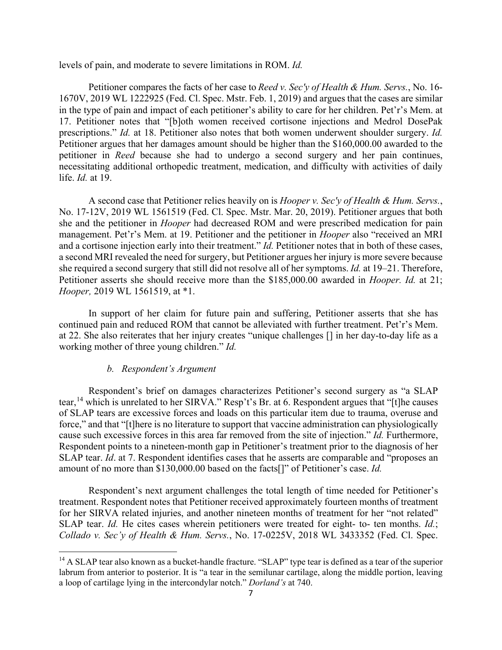levels of pain, and moderate to severe limitations in ROM. *Id.* 

Petitioner compares the facts of her case to *Reed v. Sec'y of Health & Hum. Servs.*, No. 16- 1670V, 2019 WL 1222925 (Fed. Cl. Spec. Mstr. Feb. 1, 2019) and argues that the cases are similar in the type of pain and impact of each petitioner's ability to care for her children. Pet'r's Mem. at 17. Petitioner notes that "[b]oth women received cortisone injections and Medrol DosePak prescriptions." *Id.* at 18. Petitioner also notes that both women underwent shoulder surgery. *Id.*  Petitioner argues that her damages amount should be higher than the \$160,000.00 awarded to the petitioner in *Reed* because she had to undergo a second surgery and her pain continues, necessitating additional orthopedic treatment, medication, and difficulty with activities of daily life. *Id.* at 19.

A second case that Petitioner relies heavily on is *Hooper v. Sec'y of Health & Hum. Servs.*, No. 17-12V, 2019 WL 1561519 (Fed. Cl. Spec. Mstr. Mar. 20, 2019). Petitioner argues that both she and the petitioner in *Hooper* had decreased ROM and were prescribed medication for pain management. Pet'r's Mem. at 19. Petitioner and the petitioner in *Hooper* also "received an MRI and a cortisone injection early into their treatment." *Id.* Petitioner notes that in both of these cases, a second MRI revealed the need for surgery, but Petitioner argues her injury is more severe because she required a second surgery that still did not resolve all of her symptoms. *Id.* at 19–21. Therefore, Petitioner asserts she should receive more than the \$185,000.00 awarded in *Hooper. Id.* at 21; *Hooper,* 2019 WL 1561519, at \*1.

In support of her claim for future pain and suffering, Petitioner asserts that she has continued pain and reduced ROM that cannot be alleviated with further treatment. Pet'r's Mem. at 22. She also reiterates that her injury creates "unique challenges [] in her day-to-day life as a working mother of three young children." *Id.*

#### *b. Respondent's Argument*

Respondent's brief on damages characterizes Petitioner's second surgery as "a SLAP tear,<sup>14</sup> which is unrelated to her SIRVA." Resp't's Br. at 6. Respondent argues that "[t]he causes of SLAP tears are excessive forces and loads on this particular item due to trauma, overuse and force," and that "[t]here is no literature to support that vaccine administration can physiologically cause such excessive forces in this area far removed from the site of injection." *Id.* Furthermore, Respondent points to a nineteen-month gap in Petitioner's treatment prior to the diagnosis of her SLAP tear. *Id*. at 7. Respondent identifies cases that he asserts are comparable and "proposes an amount of no more than \$130,000.00 based on the facts[]" of Petitioner's case. *Id.* 

Respondent's next argument challenges the total length of time needed for Petitioner's treatment. Respondent notes that Petitioner received approximately fourteen months of treatment for her SIRVA related injuries, and another nineteen months of treatment for her "not related" SLAP tear. *Id.* He cites cases wherein petitioners were treated for eight- to- ten months. *Id.*; *Collado v. Sec'y of Health & Hum. Servs.*, No. 17-0225V, 2018 WL 3433352 (Fed. Cl. Spec.

<sup>&</sup>lt;sup>14</sup> A SLAP tear also known as a bucket-handle fracture. "SLAP" type tear is defined as a tear of the superior labrum from anterior to posterior. It is "a tear in the semilunar cartilage, along the middle portion, leaving a loop of cartilage lying in the intercondylar notch." *Dorland's* at 740.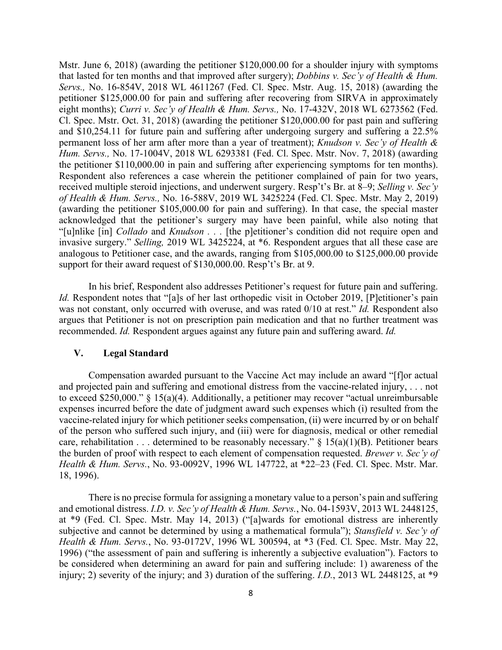Mstr. June 6, 2018) (awarding the petitioner \$120,000.00 for a shoulder injury with symptoms that lasted for ten months and that improved after surgery); *Dobbins v. Sec'y of Health & Hum. Servs.,* No. 16-854V, 2018 WL 4611267 (Fed. Cl. Spec. Mstr. Aug. 15, 2018) (awarding the petitioner \$125,000.00 for pain and suffering after recovering from SIRVA in approximately eight months); *Curri v. Sec'y of Health & Hum. Servs.,* No. 17-432V, 2018 WL 6273562 (Fed. Cl. Spec. Mstr. Oct. 31, 2018) (awarding the petitioner \$120,000.00 for past pain and suffering and \$10,254.11 for future pain and suffering after undergoing surgery and suffering a 22.5% permanent loss of her arm after more than a year of treatment); *Knudson v. Sec'y of Health & Hum. Servs.,* No. 17-1004V, 2018 WL 6293381 (Fed. Cl. Spec. Mstr. Nov. 7, 2018) (awarding the petitioner \$110,000.00 in pain and suffering after experiencing symptoms for ten months). Respondent also references a case wherein the petitioner complained of pain for two years, received multiple steroid injections, and underwent surgery. Resp't's Br. at 8–9; *Selling v. Sec'y of Health & Hum. Servs.,* No. 16-588V, 2019 WL 3425224 (Fed. Cl. Spec. Mstr. May 2, 2019) (awarding the petitioner \$105,000.00 for pain and suffering). In that case, the special master acknowledged that the petitioner's surgery may have been painful, while also noting that "[u]nlike [in] *Collado* and *Knudson . . .* [the p]etitioner's condition did not require open and invasive surgery." *Selling,* 2019 WL 3425224, at \*6. Respondent argues that all these case are analogous to Petitioner case, and the awards, ranging from \$105,000.00 to \$125,000.00 provide support for their award request of \$130,000.00. Resp't's Br. at 9.

In his brief, Respondent also addresses Petitioner's request for future pain and suffering. *Id.* Respondent notes that "[a]s of her last orthopedic visit in October 2019, [P]etitioner's pain was not constant, only occurred with overuse, and was rated 0/10 at rest." *Id.* Respondent also argues that Petitioner is not on prescription pain medication and that no further treatment was recommended. *Id.* Respondent argues against any future pain and suffering award. *Id.*

# **V. Legal Standard**

Compensation awarded pursuant to the Vaccine Act may include an award "[f]or actual and projected pain and suffering and emotional distress from the vaccine-related injury, . . . not to exceed \$250,000." § 15(a)(4). Additionally, a petitioner may recover "actual unreimbursable expenses incurred before the date of judgment award such expenses which (i) resulted from the vaccine-related injury for which petitioner seeks compensation, (ii) were incurred by or on behalf of the person who suffered such injury, and (iii) were for diagnosis, medical or other remedial care, rehabilitation . . . determined to be reasonably necessary."  $\S$  15(a)(1)(B). Petitioner bears the burden of proof with respect to each element of compensation requested. *Brewer v. Sec'y of Health & Hum. Servs.*, No. 93-0092V, 1996 WL 147722, at \*22–23 (Fed. Cl. Spec. Mstr. Mar. 18, 1996).

There is no precise formula for assigning a monetary value to a person's pain and suffering and emotional distress. *I.D. v. Sec'y of Health & Hum. Servs.*, No. 04-1593V, 2013 WL 2448125, at \*9 (Fed. Cl. Spec. Mstr. May 14, 2013) ("[a]wards for emotional distress are inherently subjective and cannot be determined by using a mathematical formula"); *Stansfield v. Sec'y of Health & Hum. Servs.*, No. 93-0172V, 1996 WL 300594, at \*3 (Fed. Cl. Spec. Mstr. May 22, 1996) ("the assessment of pain and suffering is inherently a subjective evaluation"). Factors to be considered when determining an award for pain and suffering include: 1) awareness of the injury; 2) severity of the injury; and 3) duration of the suffering. *I.D.*, 2013 WL 2448125, at \*9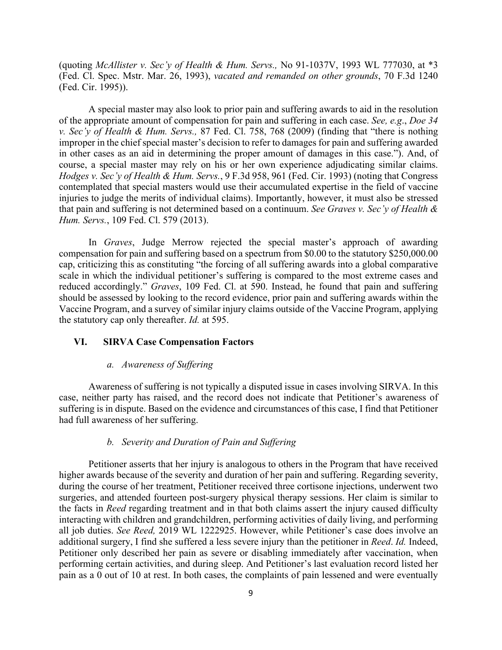(quoting *McAllister v. Sec'y of Health & Hum. Servs.,* No 91-1037V, 1993 WL 777030, at \*3 (Fed. Cl. Spec. Mstr. Mar. 26, 1993), *vacated and remanded on other grounds*, 70 F.3d 1240 (Fed. Cir. 1995)).

A special master may also look to prior pain and suffering awards to aid in the resolution of the appropriate amount of compensation for pain and suffering in each case. *See, e.g*., *Doe 34 v. Sec'y of Health & Hum. Servs.,* 87 Fed. Cl. 758, 768 (2009) (finding that "there is nothing improper in the chief special master's decision to refer to damages for pain and suffering awarded in other cases as an aid in determining the proper amount of damages in this case."). And, of course, a special master may rely on his or her own experience adjudicating similar claims. *Hodges v. Sec'y of Health & Hum. Servs.*, 9 F.3d 958, 961 (Fed. Cir. 1993) (noting that Congress contemplated that special masters would use their accumulated expertise in the field of vaccine injuries to judge the merits of individual claims). Importantly, however, it must also be stressed that pain and suffering is not determined based on a continuum. *See Graves v. Sec'y of Health & Hum. Servs.*, 109 Fed. Cl. 579 (2013).

In *Graves*, Judge Merrow rejected the special master's approach of awarding compensation for pain and suffering based on a spectrum from \$0.00 to the statutory \$250,000.00 cap, criticizing this as constituting "the forcing of all suffering awards into a global comparative scale in which the individual petitioner's suffering is compared to the most extreme cases and reduced accordingly." *Graves*, 109 Fed. Cl. at 590. Instead, he found that pain and suffering should be assessed by looking to the record evidence, prior pain and suffering awards within the Vaccine Program, and a survey of similar injury claims outside of the Vaccine Program, applying the statutory cap only thereafter. *Id.* at 595.

# **VI. SIRVA Case Compensation Factors**

#### *a. Awareness of Suffering*

Awareness of suffering is not typically a disputed issue in cases involving SIRVA. In this case, neither party has raised, and the record does not indicate that Petitioner's awareness of suffering is in dispute. Based on the evidence and circumstances of this case, I find that Petitioner had full awareness of her suffering.

# *b. Severity and Duration of Pain and Suffering*

Petitioner asserts that her injury is analogous to others in the Program that have received higher awards because of the severity and duration of her pain and suffering. Regarding severity, during the course of her treatment, Petitioner received three cortisone injections, underwent two surgeries, and attended fourteen post-surgery physical therapy sessions. Her claim is similar to the facts in *Reed* regarding treatment and in that both claims assert the injury caused difficulty interacting with children and grandchildren, performing activities of daily living, and performing all job duties. *See Reed,* 2019 WL 1222925. However, while Petitioner's case does involve an additional surgery, I find she suffered a less severe injury than the petitioner in *Reed*. *Id.* Indeed, Petitioner only described her pain as severe or disabling immediately after vaccination, when performing certain activities, and during sleep. And Petitioner's last evaluation record listed her pain as a 0 out of 10 at rest. In both cases, the complaints of pain lessened and were eventually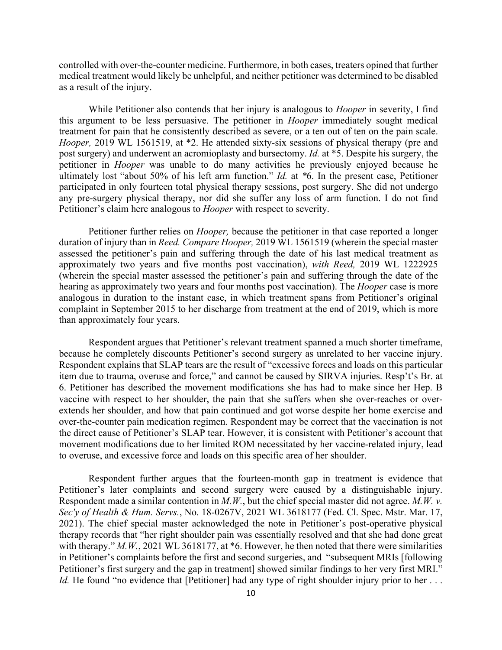controlled with over-the-counter medicine. Furthermore, in both cases, treaters opined that further medical treatment would likely be unhelpful, and neither petitioner was determined to be disabled as a result of the injury.

While Petitioner also contends that her injury is analogous to *Hooper* in severity, I find this argument to be less persuasive. The petitioner in *Hooper* immediately sought medical treatment for pain that he consistently described as severe, or a ten out of ten on the pain scale. *Hooper,* 2019 WL 1561519, at \*2. He attended sixty-six sessions of physical therapy (pre and post surgery) and underwent an acromioplasty and bursectomy. *Id.* at \*5. Despite his surgery, the petitioner in *Hooper* was unable to do many activities he previously enjoyed because he ultimately lost "about 50% of his left arm function." *Id.* at *\**6. In the present case, Petitioner participated in only fourteen total physical therapy sessions, post surgery. She did not undergo any pre-surgery physical therapy, nor did she suffer any loss of arm function. I do not find Petitioner's claim here analogous to *Hooper* with respect to severity.

Petitioner further relies on *Hooper,* because the petitioner in that case reported a longer duration of injury than in *Reed. Compare Hooper,* 2019 WL 1561519 (wherein the special master assessed the petitioner's pain and suffering through the date of his last medical treatment as approximately two years and five months post vaccination), *with Reed,* 2019 WL 1222925 (wherein the special master assessed the petitioner's pain and suffering through the date of the hearing as approximately two years and four months post vaccination). The *Hooper* case is more analogous in duration to the instant case, in which treatment spans from Petitioner's original complaint in September 2015 to her discharge from treatment at the end of 2019, which is more than approximately four years.

Respondent argues that Petitioner's relevant treatment spanned a much shorter timeframe, because he completely discounts Petitioner's second surgery as unrelated to her vaccine injury. Respondent explains that SLAP tears are the result of "excessive forces and loads on this particular item due to trauma, overuse and force," and cannot be caused by SIRVA injuries. Resp't's Br. at 6. Petitioner has described the movement modifications she has had to make since her Hep. B vaccine with respect to her shoulder, the pain that she suffers when she over-reaches or overextends her shoulder, and how that pain continued and got worse despite her home exercise and over-the-counter pain medication regimen. Respondent may be correct that the vaccination is not the direct cause of Petitioner's SLAP tear. However, it is consistent with Petitioner's account that movement modifications due to her limited ROM necessitated by her vaccine-related injury, lead to overuse, and excessive force and loads on this specific area of her shoulder.

Respondent further argues that the fourteen-month gap in treatment is evidence that Petitioner's later complaints and second surgery were caused by a distinguishable injury. Respondent made a similar contention in *M.W.*, but the chief special master did not agree. *M.W. v. Sec'y of Health & Hum. Servs.*, No. 18-0267V, 2021 WL 3618177 (Fed. Cl. Spec. Mstr. Mar. 17, 2021). The chief special master acknowledged the note in Petitioner's post-operative physical therapy records that "her right shoulder pain was essentially resolved and that she had done great with therapy." *M.W.*, 2021 WL 3618177, at \*6. However, he then noted that there were similarities in Petitioner's complaints before the first and second surgeries, and "subsequent MRIs [following Petitioner's first surgery and the gap in treatment] showed similar findings to her very first MRI." *Id.* He found "no evidence that [Petitioner] had any type of right shoulder injury prior to her ...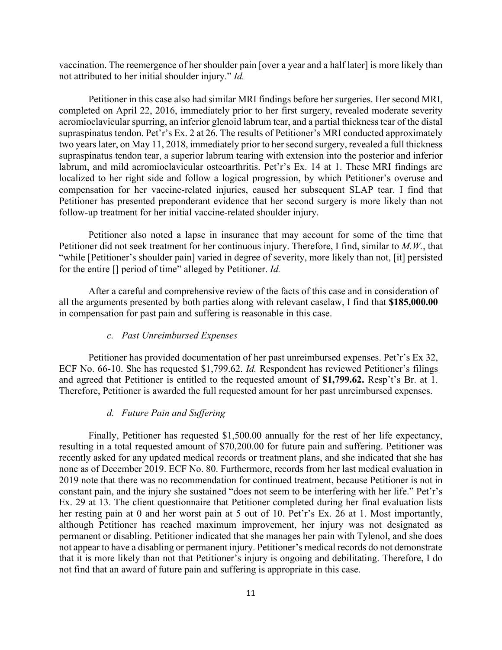vaccination. The reemergence of her shoulder pain [over a year and a half later] is more likely than not attributed to her initial shoulder injury." *Id.*

Petitioner in this case also had similar MRI findings before her surgeries. Her second MRI, completed on April 22, 2016, immediately prior to her first surgery, revealed moderate severity acromioclavicular spurring, an inferior glenoid labrum tear, and a partial thickness tear of the distal supraspinatus tendon. Pet'r's Ex. 2 at 26. The results of Petitioner's MRI conducted approximately two years later, on May 11, 2018, immediately prior to her second surgery, revealed a full thickness supraspinatus tendon tear, a superior labrum tearing with extension into the posterior and inferior labrum, and mild acromioclavicular osteoarthritis. Pet'r's Ex. 14 at 1. These MRI findings are localized to her right side and follow a logical progression, by which Petitioner's overuse and compensation for her vaccine-related injuries, caused her subsequent SLAP tear. I find that Petitioner has presented preponderant evidence that her second surgery is more likely than not follow-up treatment for her initial vaccine-related shoulder injury.

Petitioner also noted a lapse in insurance that may account for some of the time that Petitioner did not seek treatment for her continuous injury. Therefore, I find, similar to *M.W.*, that "while [Petitioner's shoulder pain] varied in degree of severity, more likely than not, [it] persisted for the entire [] period of time" alleged by Petitioner. *Id.* 

After a careful and comprehensive review of the facts of this case and in consideration of all the arguments presented by both parties along with relevant caselaw, I find that **\$185,000.00**  in compensation for past pain and suffering is reasonable in this case.

# *c. Past Unreimbursed Expenses*

Petitioner has provided documentation of her past unreimbursed expenses. Pet'r's Ex 32, ECF No. 66-10. She has requested \$1,799.62. *Id.* Respondent has reviewed Petitioner's filings and agreed that Petitioner is entitled to the requested amount of **\$1,799.62.** Resp't's Br. at 1. Therefore, Petitioner is awarded the full requested amount for her past unreimbursed expenses.

## *d. Future Pain and Suffering*

Finally, Petitioner has requested \$1,500.00 annually for the rest of her life expectancy, resulting in a total requested amount of \$70,200.00 for future pain and suffering. Petitioner was recently asked for any updated medical records or treatment plans, and she indicated that she has none as of December 2019. ECF No. 80. Furthermore, records from her last medical evaluation in 2019 note that there was no recommendation for continued treatment, because Petitioner is not in constant pain, and the injury she sustained "does not seem to be interfering with her life." Pet'r's Ex. 29 at 13. The client questionnaire that Petitioner completed during her final evaluation lists her resting pain at 0 and her worst pain at 5 out of 10. Pet'r's Ex. 26 at 1. Most importantly, although Petitioner has reached maximum improvement, her injury was not designated as permanent or disabling. Petitioner indicated that she manages her pain with Tylenol, and she does not appear to have a disabling or permanent injury. Petitioner's medical records do not demonstrate that it is more likely than not that Petitioner's injury is ongoing and debilitating. Therefore, I do not find that an award of future pain and suffering is appropriate in this case.